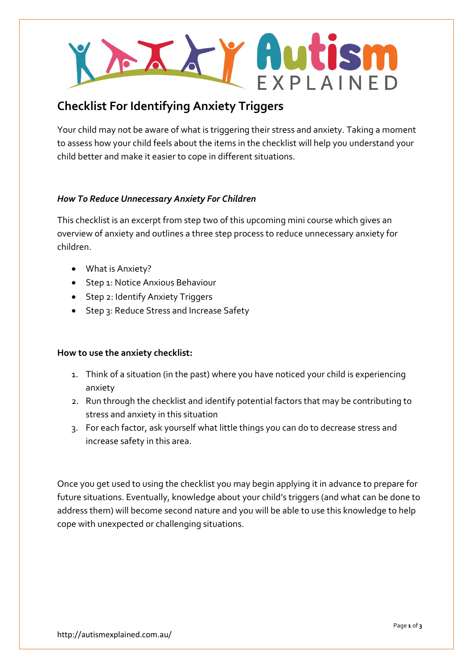

# **Checklist For Identifying Anxiety Triggers**

Your child may not be aware of what is triggering their stress and anxiety. Taking a moment to assess how your child feels about the items in the checklist will help you understand your child better and make it easier to cope in different situations.

## *How To Reduce Unnecessary Anxiety For Children*

This checklist is an excerpt from step two of this upcoming mini course which gives an overview of anxiety and outlines a three step process to reduce unnecessary anxiety for children.

- What is Anxiety?
- Step 1: Notice Anxious Behaviour
- Step 2: Identify Anxiety Triggers
- Step 3: Reduce Stress and Increase Safety

### **How to use the anxiety checklist:**

- 1. Think of a situation (in the past) where you have noticed your child is experiencing anxiety
- 2. Run through the checklist and identify potential factors that may be contributing to stress and anxiety in this situation
- 3. For each factor, ask yourself what little things you can do to decrease stress and increase safety in this area.

Once you get used to using the checklist you may begin applying it in advance to prepare for future situations. Eventually, knowledge about your child's triggers (and what can be done to address them) will become second nature and you will be able to use this knowledge to help cope with unexpected or challenging situations.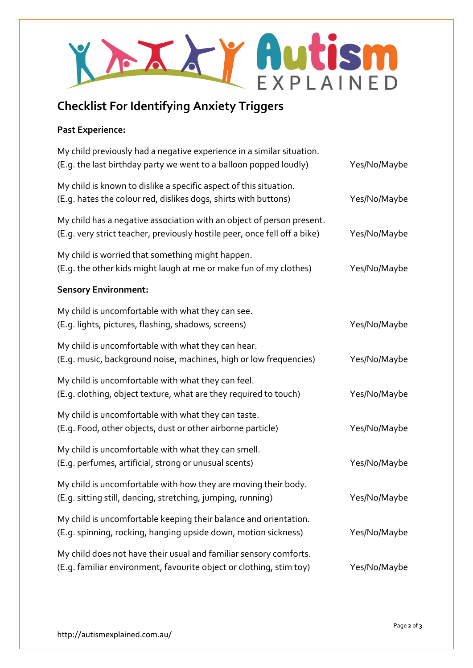

# **Checklist For Identifying Anxiety Triggers**

### **Past Experience:**

| My child previously had a negative experience in a similar situation.<br>(E.g. the last birthday party we went to a balloon popped loudly)         | Yes/No/Maybe |
|----------------------------------------------------------------------------------------------------------------------------------------------------|--------------|
| My child is known to dislike a specific aspect of this situation.<br>(E.g. hates the colour red, dislikes dogs, shirts with buttons)               | Yes/No/Maybe |
| My child has a negative association with an object of person present.<br>(E.g. very strict teacher, previously hostile peer, once fell off a bike) | Yes/No/Maybe |
| My child is worried that something might happen.<br>(E.g. the other kids might laugh at me or make fun of my clothes)                              | Yes/No/Maybe |
| <b>Sensory Environment:</b>                                                                                                                        |              |
| My child is uncomfortable with what they can see.<br>(E.g. lights, pictures, flashing, shadows, screens)                                           | Yes/No/Maybe |
| My child is uncomfortable with what they can hear.<br>(E.g. music, background noise, machines, high or low frequencies)                            | Yes/No/Maybe |
| My child is uncomfortable with what they can feel.<br>(E.g. clothing, object texture, what are they required to touch)                             | Yes/No/Maybe |
| My child is uncomfortable with what they can taste.<br>(E.g. Food, other objects, dust or other airborne particle)                                 | Yes/No/Maybe |
| My child is uncomfortable with what they can smell.<br>(E.g. perfumes, artificial, strong or unusual scents)                                       | Yes/No/Maybe |
| My child is uncomfortable with how they are moving their body.<br>(E.g. sitting still, dancing, stretching, jumping, running)                      | Yes/No/Maybe |
| My child is uncomfortable keeping their balance and orientation.<br>(E.g. spinning, rocking, hanging upside down, motion sickness)                 | Yes/No/Maybe |
| My child does not have their usual and familiar sensory comforts.<br>(E.g. familiar environment, favourite object or clothing, stim toy)           | Yes/No/Maybe |